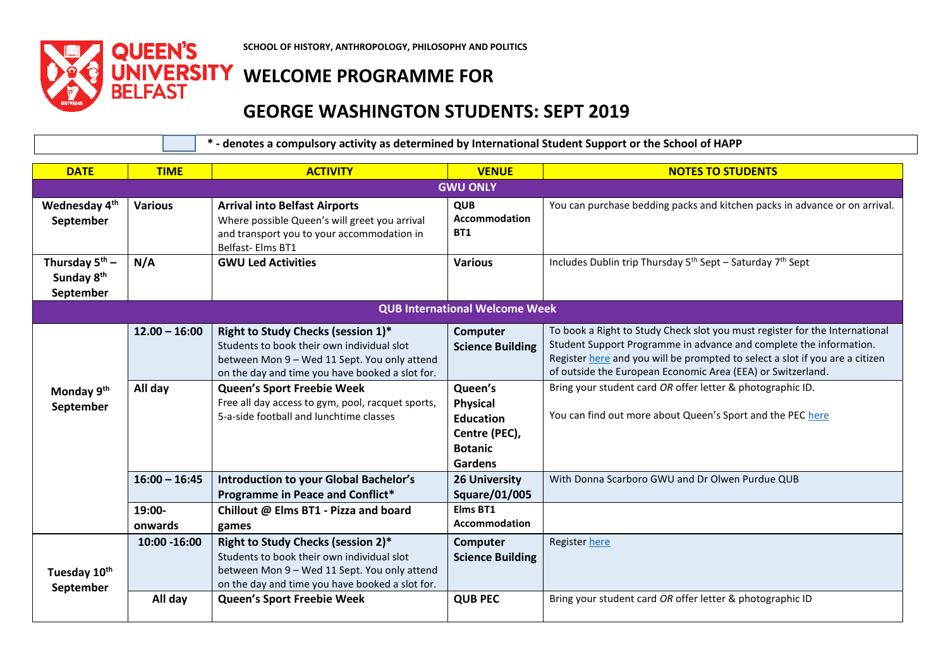

**SCHOOL OF HISTORY, ANTHROPOLOGY, PHILOSOPHY AND POLITICS**

## **UNIVERSITY WELCOME PROGRAMME FOR BELFAST**

## **GEORGE WASHINGTON STUDENTS: SEPT 2019**

 **\* - denotes a compulsory activity as determined by International Student Support or the School of HAPP**

| <b>DATE</b>                                                | <b>TIME</b>             | <b>ACTIVITY</b>                                                                                                                                                                                                          | <b>VENUE</b>                                                                                 | <b>NOTES TO STUDENTS</b>                                                                                                                                                                                                                                                                         |  |
|------------------------------------------------------------|-------------------------|--------------------------------------------------------------------------------------------------------------------------------------------------------------------------------------------------------------------------|----------------------------------------------------------------------------------------------|--------------------------------------------------------------------------------------------------------------------------------------------------------------------------------------------------------------------------------------------------------------------------------------------------|--|
| <b>GWU ONLY</b>                                            |                         |                                                                                                                                                                                                                          |                                                                                              |                                                                                                                                                                                                                                                                                                  |  |
| Wednesday 4 <sup>th</sup><br>September                     | <b>Various</b>          | <b>Arrival into Belfast Airports</b><br>Where possible Queen's will greet you arrival<br>and transport you to your accommodation in<br>Belfast-Elms BT1                                                                  | <b>QUB</b><br>Accommodation<br><b>BT1</b>                                                    | You can purchase bedding packs and kitchen packs in advance or on arrival.                                                                                                                                                                                                                       |  |
| Thursday $5^{th}$ –<br>Sunday 8 <sup>th</sup><br>September | N/A                     | <b>GWU Led Activities</b>                                                                                                                                                                                                | <b>Various</b>                                                                               | Includes Dublin trip Thursday 5 <sup>th</sup> Sept - Saturday 7 <sup>th</sup> Sept                                                                                                                                                                                                               |  |
|                                                            |                         |                                                                                                                                                                                                                          | <b>QUB International Welcome Week</b>                                                        |                                                                                                                                                                                                                                                                                                  |  |
|                                                            | $12.00 - 16:00$         | Right to Study Checks (session 1)*<br>Students to book their own individual slot<br>between Mon 9 - Wed 11 Sept. You only attend<br>on the day and time you have booked a slot for.                                      | Computer<br><b>Science Building</b>                                                          | To book a Right to Study Check slot you must register for the International<br>Student Support Programme in advance and complete the information.<br>Register here and you will be prompted to select a slot if you are a citizen<br>of outside the European Economic Area (EEA) or Switzerland. |  |
| Monday 9 <sup>th</sup><br>September                        | All day                 | Queen's Sport Freebie Week<br>Free all day access to gym, pool, racquet sports,<br>5-a-side football and lunchtime classes                                                                                               | Queen's<br><b>Physical</b><br><b>Education</b><br>Centre (PEC),<br><b>Botanic</b><br>Gardens | Bring your student card OR offer letter & photographic ID.<br>You can find out more about Queen's Sport and the PEC here                                                                                                                                                                         |  |
|                                                            | $16:00 - 16:45$         | <b>Introduction to your Global Bachelor's</b><br>Programme in Peace and Conflict*                                                                                                                                        | <b>26 University</b><br><b>Square/01/005</b>                                                 | With Donna Scarboro GWU and Dr Olwen Purdue QUB                                                                                                                                                                                                                                                  |  |
|                                                            | 19:00-<br>onwards       | Chillout @ Elms BT1 - Pizza and board<br>games                                                                                                                                                                           | Elms BT1<br><b>Accommodation</b>                                                             |                                                                                                                                                                                                                                                                                                  |  |
| Tuesday 10th<br>September                                  | 10:00 -16:00<br>All day | Right to Study Checks (session 2)*<br>Students to book their own individual slot<br>between Mon 9 - Wed 11 Sept. You only attend<br>on the day and time you have booked a slot for.<br><b>Queen's Sport Freebie Week</b> | Computer<br><b>Science Building</b><br><b>QUB PEC</b>                                        | Register here<br>Bring your student card OR offer letter & photographic ID                                                                                                                                                                                                                       |  |
|                                                            |                         |                                                                                                                                                                                                                          |                                                                                              |                                                                                                                                                                                                                                                                                                  |  |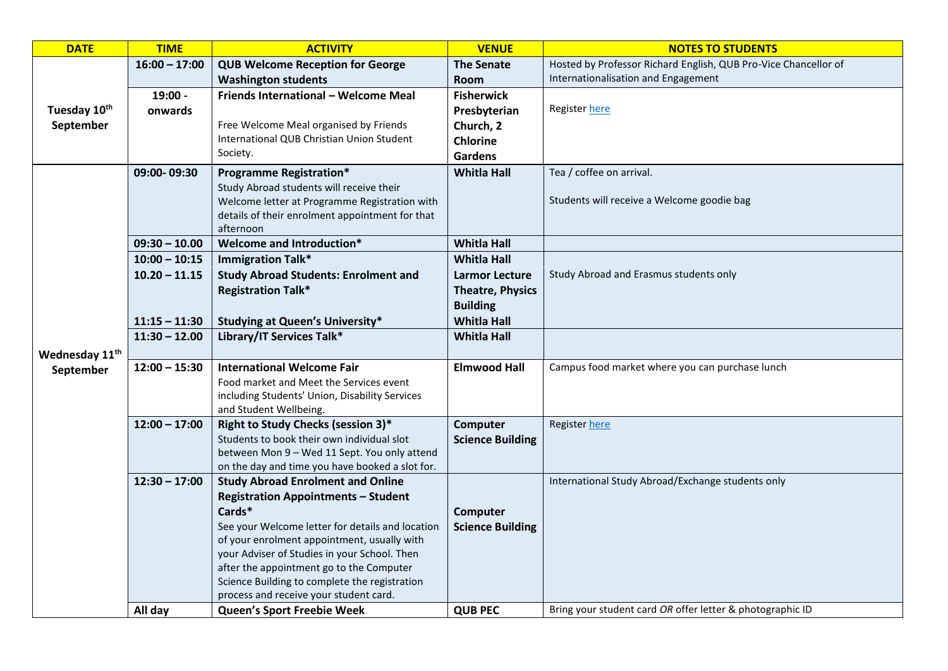| <b>DATE</b>                | <b>TIME</b>     | <b>ACTIVITY</b>                                                                            | <b>VENUE</b>            | <b>NOTES TO STUDENTS</b>                                        |
|----------------------------|-----------------|--------------------------------------------------------------------------------------------|-------------------------|-----------------------------------------------------------------|
|                            | $16:00 - 17:00$ | <b>QUB Welcome Reception for George</b>                                                    | The Senate              | Hosted by Professor Richard English, QUB Pro-Vice Chancellor of |
|                            |                 | <b>Washington students</b>                                                                 | <b>Room</b>             | Internationalisation and Engagement                             |
|                            | 19:00 -         | Friends International - Welcome Meal                                                       | <b>Fisherwick</b>       |                                                                 |
| Tuesday 10th               | onwards         |                                                                                            | Presbyterian            | Register here                                                   |
| September                  |                 | Free Welcome Meal organised by Friends                                                     | Church, 2               |                                                                 |
|                            |                 | International QUB Christian Union Student                                                  | <b>Chlorine</b>         |                                                                 |
|                            |                 | Society.                                                                                   | <b>Gardens</b>          |                                                                 |
|                            | 09:00-09:30     | <b>Programme Registration*</b>                                                             | <b>Whitla Hall</b>      | Tea / coffee on arrival.                                        |
|                            |                 | Study Abroad students will receive their                                                   |                         |                                                                 |
|                            |                 | Welcome letter at Programme Registration with                                              |                         | Students will receive a Welcome goodie bag                      |
|                            |                 | details of their enrolment appointment for that                                            |                         |                                                                 |
|                            |                 | afternoon                                                                                  |                         |                                                                 |
|                            | $09:30 - 10.00$ | Welcome and Introduction*                                                                  | <b>Whitla Hall</b>      |                                                                 |
|                            | $10:00 - 10:15$ | <b>Immigration Talk*</b>                                                                   | <b>Whitla Hall</b>      |                                                                 |
|                            | $10.20 - 11.15$ | <b>Study Abroad Students: Enrolment and</b>                                                | <b>Larmor Lecture</b>   | Study Abroad and Erasmus students only                          |
|                            |                 | <b>Registration Talk*</b>                                                                  | <b>Theatre, Physics</b> |                                                                 |
|                            |                 |                                                                                            | <b>Building</b>         |                                                                 |
|                            | $11:15 - 11:30$ | <b>Studying at Queen's University*</b>                                                     | <b>Whitla Hall</b>      |                                                                 |
|                            | $11:30 - 12.00$ | Library/IT Services Talk*                                                                  | <b>Whitla Hall</b>      |                                                                 |
| Wednesday 11 <sup>th</sup> |                 |                                                                                            |                         |                                                                 |
| September                  | $12:00 - 15:30$ | <b>International Welcome Fair</b>                                                          | <b>Elmwood Hall</b>     | Campus food market where you can purchase lunch                 |
|                            |                 | Food market and Meet the Services event                                                    |                         |                                                                 |
|                            |                 | including Students' Union, Disability Services                                             |                         |                                                                 |
|                            |                 | and Student Wellbeing.                                                                     |                         |                                                                 |
|                            | $12:00 - 17:00$ | Right to Study Checks (session 3)*                                                         | Computer                | <b>Register here</b>                                            |
|                            |                 | Students to book their own individual slot<br>between Mon 9 - Wed 11 Sept. You only attend | <b>Science Building</b> |                                                                 |
|                            |                 | on the day and time you have booked a slot for.                                            |                         |                                                                 |
|                            | $12:30 - 17:00$ | <b>Study Abroad Enrolment and Online</b>                                                   |                         | International Study Abroad/Exchange students only               |
|                            |                 | <b>Registration Appointments - Student</b>                                                 |                         |                                                                 |
|                            |                 | Cards*                                                                                     | Computer                |                                                                 |
|                            |                 | See your Welcome letter for details and location                                           | <b>Science Building</b> |                                                                 |
|                            |                 | of your enrolment appointment, usually with                                                |                         |                                                                 |
|                            |                 | your Adviser of Studies in your School. Then                                               |                         |                                                                 |
|                            |                 | after the appointment go to the Computer                                                   |                         |                                                                 |
|                            |                 | Science Building to complete the registration                                              |                         |                                                                 |
|                            |                 | process and receive your student card.                                                     |                         |                                                                 |
|                            | All day         | Queen's Sport Freebie Week                                                                 | <b>QUB PEC</b>          | Bring your student card OR offer letter & photographic ID       |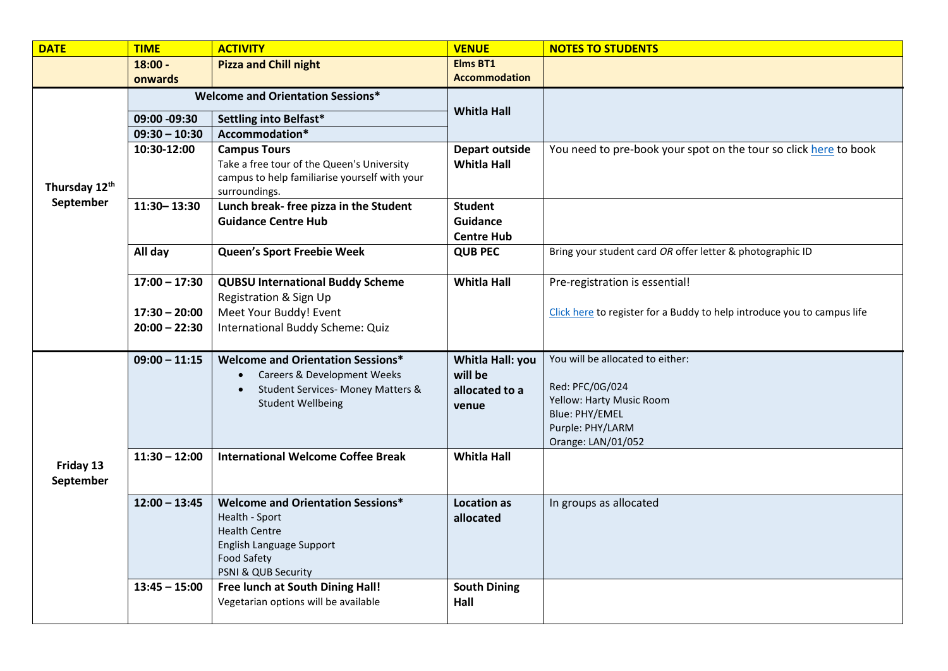| <b>DATE</b>            | <b>TIME</b>     | <b>ACTIVITY</b>                                                                                                                          | <b>VENUE</b>                                           | <b>NOTES TO STUDENTS</b>                                                                                                                    |
|------------------------|-----------------|------------------------------------------------------------------------------------------------------------------------------------------|--------------------------------------------------------|---------------------------------------------------------------------------------------------------------------------------------------------|
|                        | $18:00 -$       | <b>Pizza and Chill night</b>                                                                                                             | <b>Elms BT1</b>                                        |                                                                                                                                             |
|                        | onwards         |                                                                                                                                          | <b>Accommodation</b>                                   |                                                                                                                                             |
|                        |                 | <b>Welcome and Orientation Sessions*</b>                                                                                                 |                                                        |                                                                                                                                             |
|                        | 09:00 -09:30    | Settling into Belfast*                                                                                                                   | <b>Whitla Hall</b>                                     |                                                                                                                                             |
|                        | $09:30 - 10:30$ | Accommodation*                                                                                                                           |                                                        |                                                                                                                                             |
| Thursday 12th          | 10:30-12:00     | <b>Campus Tours</b><br>Take a free tour of the Queen's University<br>campus to help familiarise yourself with your<br>surroundings.      | Depart outside<br><b>Whitla Hall</b>                   | You need to pre-book your spot on the tour so click here to book                                                                            |
| September              | $11:30 - 13:30$ | Lunch break- free pizza in the Student                                                                                                   | <b>Student</b>                                         |                                                                                                                                             |
|                        |                 | <b>Guidance Centre Hub</b>                                                                                                               | <b>Guidance</b>                                        |                                                                                                                                             |
|                        |                 |                                                                                                                                          | <b>Centre Hub</b>                                      |                                                                                                                                             |
|                        | All day         | Queen's Sport Freebie Week                                                                                                               | <b>QUB PEC</b>                                         | Bring your student card OR offer letter & photographic ID                                                                                   |
|                        |                 |                                                                                                                                          |                                                        |                                                                                                                                             |
|                        | $17:00 - 17:30$ | <b>QUBSU International Buddy Scheme</b><br>Registration & Sign Up                                                                        | <b>Whitla Hall</b>                                     | Pre-registration is essential!                                                                                                              |
|                        | $17:30 - 20:00$ | Meet Your Buddy! Event                                                                                                                   |                                                        | Click here to register for a Buddy to help introduce you to campus life                                                                     |
|                        | $20:00 - 22:30$ | International Buddy Scheme: Quiz                                                                                                         |                                                        |                                                                                                                                             |
|                        |                 |                                                                                                                                          |                                                        |                                                                                                                                             |
|                        | $09:00 - 11:15$ | <b>Welcome and Orientation Sessions*</b><br>Careers & Development Weeks<br>Student Services- Money Matters &<br><b>Student Wellbeing</b> | Whitla Hall: you<br>will be<br>allocated to a<br>venue | You will be allocated to either:<br>Red: PFC/0G/024<br>Yellow: Harty Music Room<br>Blue: PHY/EMEL<br>Purple: PHY/LARM<br>Orange: LAN/01/052 |
|                        | $11:30 - 12:00$ | <b>International Welcome Coffee Break</b>                                                                                                | <b>Whitla Hall</b>                                     |                                                                                                                                             |
| Friday 13<br>September |                 |                                                                                                                                          |                                                        |                                                                                                                                             |
|                        | $12:00 - 13:45$ | <b>Welcome and Orientation Sessions*</b><br>Health - Sport<br><b>Health Centre</b>                                                       | <b>Location as</b><br>allocated                        | In groups as allocated                                                                                                                      |
|                        |                 | English Language Support<br><b>Food Safety</b><br>PSNI & QUB Security                                                                    |                                                        |                                                                                                                                             |
|                        | $13:45 - 15:00$ | Free lunch at South Dining Hall!                                                                                                         | <b>South Dining</b>                                    |                                                                                                                                             |
|                        |                 | Vegetarian options will be available                                                                                                     | Hall                                                   |                                                                                                                                             |
|                        |                 |                                                                                                                                          |                                                        |                                                                                                                                             |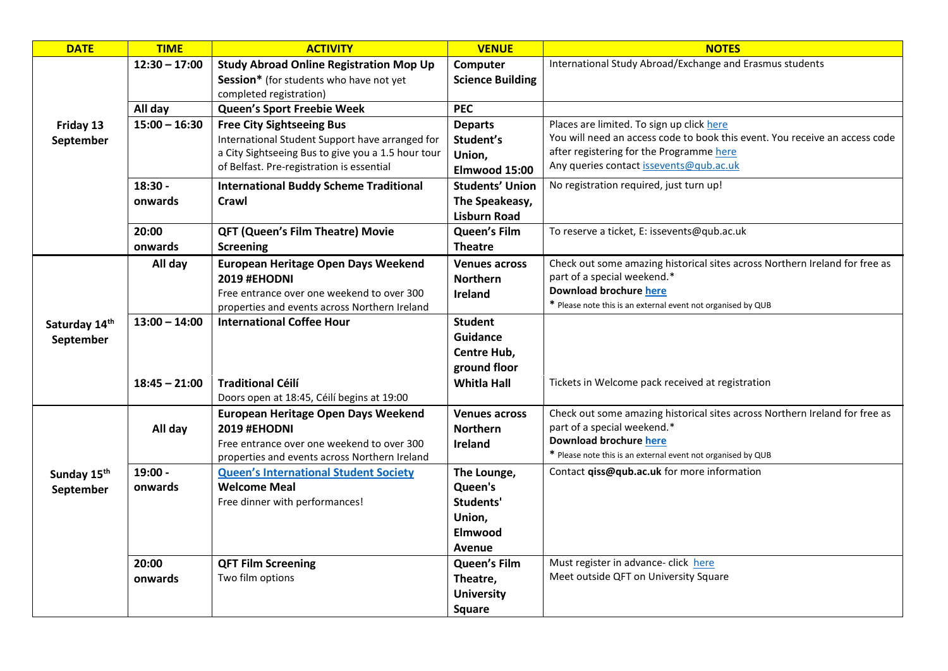| <b>DATE</b>                | <b>TIME</b>     | <b>ACTIVITY</b>                                                                                 | <b>VENUE</b>            | <b>NOTES</b>                                                                                                            |
|----------------------------|-----------------|-------------------------------------------------------------------------------------------------|-------------------------|-------------------------------------------------------------------------------------------------------------------------|
|                            | $12:30 - 17:00$ | <b>Study Abroad Online Registration Mop Up</b>                                                  | Computer                | International Study Abroad/Exchange and Erasmus students                                                                |
|                            |                 | Session* (for students who have not yet                                                         | <b>Science Building</b> |                                                                                                                         |
|                            |                 | completed registration)                                                                         |                         |                                                                                                                         |
|                            | All day         | Queen's Sport Freebie Week                                                                      | <b>PEC</b>              |                                                                                                                         |
| Friday 13                  | $15:00 - 16:30$ | <b>Free City Sightseeing Bus</b>                                                                | <b>Departs</b>          | Places are limited. To sign up click here                                                                               |
| September                  |                 | International Student Support have arranged for                                                 | Student's               | You will need an access code to book this event. You receive an access code<br>after registering for the Programme here |
|                            |                 | a City Sightseeing Bus to give you a 1.5 hour tour<br>of Belfast. Pre-registration is essential | Union,                  | Any queries contact issevents@qub.ac.uk                                                                                 |
|                            |                 |                                                                                                 | Elmwood 15:00           |                                                                                                                         |
|                            | 18:30 -         | <b>International Buddy Scheme Traditional</b>                                                   | <b>Students' Union</b>  | No registration required, just turn up!                                                                                 |
|                            | onwards         | Crawl                                                                                           | The Speakeasy,          |                                                                                                                         |
|                            |                 |                                                                                                 | <b>Lisburn Road</b>     |                                                                                                                         |
|                            | 20:00           | <b>QFT (Queen's Film Theatre) Movie</b>                                                         | Queen's Film            | To reserve a ticket, E: issevents@qub.ac.uk                                                                             |
|                            | onwards         | <b>Screening</b>                                                                                | <b>Theatre</b>          |                                                                                                                         |
|                            | All day         | <b>European Heritage Open Days Weekend</b>                                                      | <b>Venues across</b>    | Check out some amazing historical sites across Northern Ireland for free as<br>part of a special weekend.*              |
|                            |                 | <b>2019 #EHODNI</b>                                                                             | <b>Northern</b>         | <b>Download brochure here</b>                                                                                           |
|                            |                 | Free entrance over one weekend to over 300<br>properties and events across Northern Ireland     | Ireland                 | * Please note this is an external event not organised by QUB                                                            |
|                            | $13:00 - 14:00$ | <b>International Coffee Hour</b>                                                                | <b>Student</b>          |                                                                                                                         |
| Saturday 14th<br>September |                 |                                                                                                 | <b>Guidance</b>         |                                                                                                                         |
|                            |                 |                                                                                                 | Centre Hub,             |                                                                                                                         |
|                            |                 |                                                                                                 | ground floor            |                                                                                                                         |
|                            | $18:45 - 21:00$ | <b>Traditional Céilí</b>                                                                        | <b>Whitla Hall</b>      | Tickets in Welcome pack received at registration                                                                        |
|                            |                 | Doors open at 18:45, Céilí begins at 19:00                                                      |                         |                                                                                                                         |
|                            |                 | <b>European Heritage Open Days Weekend</b>                                                      | <b>Venues across</b>    | Check out some amazing historical sites across Northern Ireland for free as                                             |
|                            | All day         | <b>2019 #EHODNI</b>                                                                             | <b>Northern</b>         | part of a special weekend.*                                                                                             |
|                            |                 | Free entrance over one weekend to over 300                                                      | <b>Ireland</b>          | Download brochure here                                                                                                  |
|                            |                 | properties and events across Northern Ireland                                                   |                         | * Please note this is an external event not organised by QUB                                                            |
| Sunday 15 <sup>th</sup>    | 19:00 -         | <b>Queen's International Student Society</b>                                                    | The Lounge,             | Contact qiss@qub.ac.uk for more information                                                                             |
| September                  | onwards         | <b>Welcome Meal</b>                                                                             | Queen's                 |                                                                                                                         |
|                            |                 | Free dinner with performances!                                                                  | Students'               |                                                                                                                         |
|                            |                 |                                                                                                 | Union,                  |                                                                                                                         |
|                            |                 |                                                                                                 | <b>Elmwood</b>          |                                                                                                                         |
|                            |                 |                                                                                                 | Avenue                  |                                                                                                                         |
|                            | 20:00           | <b>QFT Film Screening</b>                                                                       | <b>Queen's Film</b>     | Must register in advance- click here                                                                                    |
|                            | onwards         | Two film options                                                                                | Theatre,                | Meet outside QFT on University Square                                                                                   |
|                            |                 |                                                                                                 | <b>University</b>       |                                                                                                                         |
|                            |                 |                                                                                                 | <b>Square</b>           |                                                                                                                         |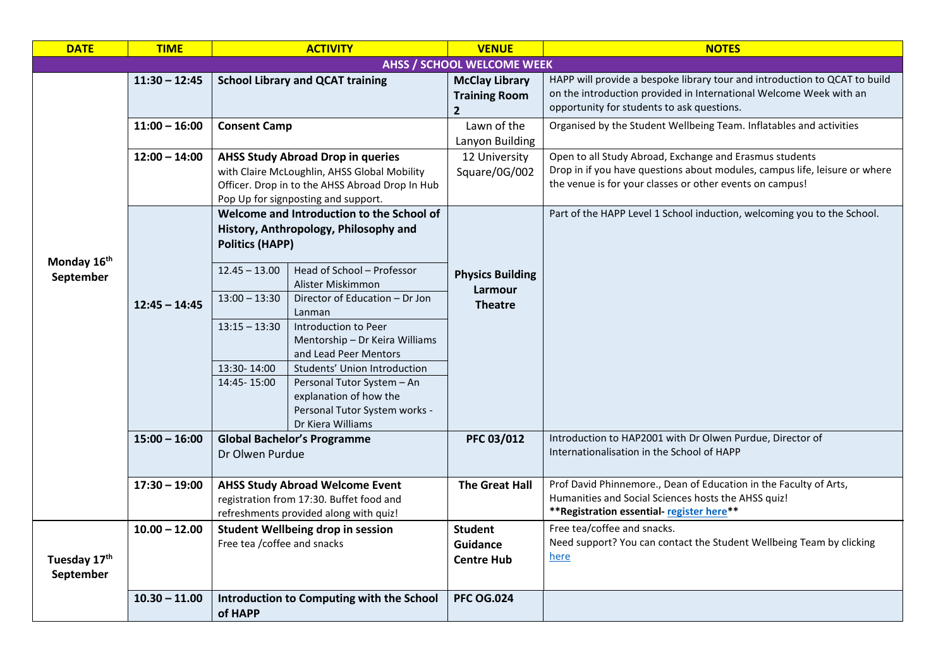| <b>DATE</b>               | <b>TIME</b>     | <b>ACTIVITY</b>                                                                                                                                                                                   | <b>VENUE</b>                                                    | <b>NOTES</b>                                                                                                                                                                                      |
|---------------------------|-----------------|---------------------------------------------------------------------------------------------------------------------------------------------------------------------------------------------------|-----------------------------------------------------------------|---------------------------------------------------------------------------------------------------------------------------------------------------------------------------------------------------|
|                           |                 |                                                                                                                                                                                                   | <b>AHSS / SCHOOL WELCOME WEEK</b>                               |                                                                                                                                                                                                   |
|                           | $11:30 - 12:45$ | <b>School Library and QCAT training</b>                                                                                                                                                           | <b>McClay Library</b><br><b>Training Room</b><br>$\overline{2}$ | HAPP will provide a bespoke library tour and introduction to QCAT to build<br>on the introduction provided in International Welcome Week with an<br>opportunity for students to ask questions.    |
|                           | $11:00 - 16:00$ | <b>Consent Camp</b>                                                                                                                                                                               | Lawn of the<br>Lanyon Building                                  | Organised by the Student Wellbeing Team. Inflatables and activities                                                                                                                               |
|                           | $12:00 - 14:00$ | <b>AHSS Study Abroad Drop in queries</b><br>with Claire McLoughlin, AHSS Global Mobility<br>Officer. Drop in to the AHSS Abroad Drop In Hub<br>Pop Up for signposting and support.                | 12 University<br>Square/0G/002                                  | Open to all Study Abroad, Exchange and Erasmus students<br>Drop in if you have questions about modules, campus life, leisure or where<br>the venue is for your classes or other events on campus! |
| Monday 16th<br>September  | $12:45 - 14:45$ | Welcome and Introduction to the School of<br>History, Anthropology, Philosophy and<br><b>Politics (HAPP)</b><br>Head of School - Professor<br>$12.45 - 13.00$                                     | <b>Physics Building</b>                                         | Part of the HAPP Level 1 School induction, welcoming you to the School.                                                                                                                           |
|                           |                 | Alister Miskimmon<br>$13:00 - 13:30$<br>Director of Education - Dr Jon<br>Lanman<br>Introduction to Peer<br>$13:15 - 13:30$<br>Mentorship - Dr Keira Williams                                     | Larmour<br><b>Theatre</b>                                       |                                                                                                                                                                                                   |
|                           |                 | and Lead Peer Mentors<br>13:30-14:00<br>Students' Union Introduction<br>14:45-15:00<br>Personal Tutor System - An<br>explanation of how the<br>Personal Tutor System works -<br>Dr Kiera Williams |                                                                 |                                                                                                                                                                                                   |
|                           | $15:00 - 16:00$ | <b>Global Bachelor's Programme</b><br>Dr Olwen Purdue                                                                                                                                             | PFC 03/012                                                      | Introduction to HAP2001 with Dr Olwen Purdue, Director of<br>Internationalisation in the School of HAPP                                                                                           |
|                           | $17:30 - 19:00$ | <b>AHSS Study Abroad Welcome Event</b><br>registration from 17:30. Buffet food and<br>refreshments provided along with quiz!                                                                      | <b>The Great Hall</b>                                           | Prof David Phinnemore., Dean of Education in the Faculty of Arts,<br>Humanities and Social Sciences hosts the AHSS quiz!<br>** Registration essential- register here**                            |
| Tuesday 17th<br>September | $10.00 - 12.00$ | Student Wellbeing drop in session<br>Free tea / coffee and snacks                                                                                                                                 | <b>Student</b><br><b>Guidance</b><br><b>Centre Hub</b>          | Free tea/coffee and snacks.<br>Need support? You can contact the Student Wellbeing Team by clicking<br>here                                                                                       |
|                           | $10.30 - 11.00$ | Introduction to Computing with the School<br>of HAPP                                                                                                                                              | <b>PFC OG.024</b>                                               |                                                                                                                                                                                                   |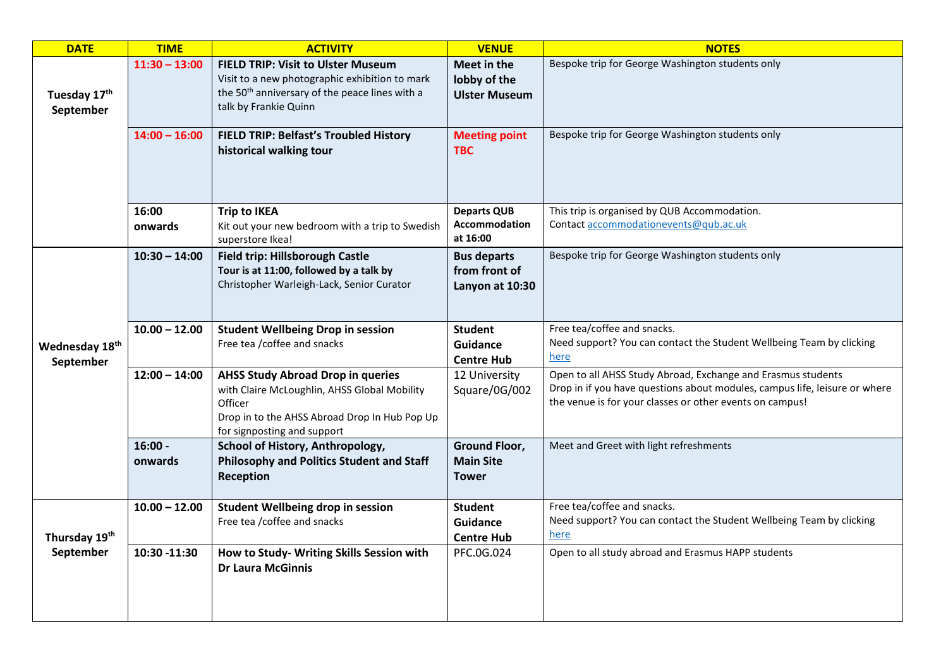| <b>DATE</b>                 | <b>TIME</b>          | <b>ACTIVITY</b>                                                                                                                                                                     | <b>VENUE</b>                                             | <b>NOTES</b>                                                                                                                                                                                           |
|-----------------------------|----------------------|-------------------------------------------------------------------------------------------------------------------------------------------------------------------------------------|----------------------------------------------------------|--------------------------------------------------------------------------------------------------------------------------------------------------------------------------------------------------------|
| Tuesday 17th<br>September   | $11:30 - 13:00$      | <b>FIELD TRIP: Visit to Ulster Museum</b><br>Visit to a new photographic exhibition to mark<br>the 50 <sup>th</sup> anniversary of the peace lines with a<br>talk by Frankie Quinn  | Meet in the<br>lobby of the<br><b>Ulster Museum</b>      | Bespoke trip for George Washington students only                                                                                                                                                       |
|                             | $14:00 - 16:00$      | FIELD TRIP: Belfast's Troubled History<br>historical walking tour                                                                                                                   | <b>Meeting point</b><br><b>TBC</b>                       | Bespoke trip for George Washington students only                                                                                                                                                       |
|                             | 16:00<br>onwards     | <b>Trip to IKEA</b><br>Kit out your new bedroom with a trip to Swedish<br>superstore Ikea!                                                                                          | <b>Departs QUB</b><br><b>Accommodation</b><br>at 16:00   | This trip is organised by QUB Accommodation.<br>Contact accommodationevents@qub.ac.uk                                                                                                                  |
|                             | $10:30 - 14:00$      | Field trip: Hillsborough Castle<br>Tour is at 11:00, followed by a talk by<br>Christopher Warleigh-Lack, Senior Curator                                                             | <b>Bus departs</b><br>from front of<br>Lanyon at 10:30   | Bespoke trip for George Washington students only                                                                                                                                                       |
| Wednesday 18th<br>September | $10.00 - 12.00$      | <b>Student Wellbeing Drop in session</b><br>Free tea / coffee and snacks                                                                                                            | <b>Student</b><br>Guidance<br><b>Centre Hub</b>          | Free tea/coffee and snacks.<br>Need support? You can contact the Student Wellbeing Team by clicking<br>here                                                                                            |
|                             | $12:00 - 14:00$      | <b>AHSS Study Abroad Drop in queries</b><br>with Claire McLoughlin, AHSS Global Mobility<br>Officer<br>Drop in to the AHSS Abroad Drop In Hub Pop Up<br>for signposting and support | 12 University<br>Square/0G/002                           | Open to all AHSS Study Abroad, Exchange and Erasmus students<br>Drop in if you have questions about modules, campus life, leisure or where<br>the venue is for your classes or other events on campus! |
|                             | $16:00 -$<br>onwards | School of History, Anthropology,<br>Philosophy and Politics Student and Staff<br>Reception                                                                                          | <b>Ground Floor,</b><br><b>Main Site</b><br><b>Tower</b> | Meet and Greet with light refreshments                                                                                                                                                                 |
| Thursday 19th<br>September  | $10.00 - 12.00$      | <b>Student Wellbeing drop in session</b><br>Free tea / coffee and snacks                                                                                                            | <b>Student</b><br>Guidance<br><b>Centre Hub</b>          | Free tea/coffee and snacks.<br>Need support? You can contact the Student Wellbeing Team by clicking<br>here                                                                                            |
|                             | 10:30 -11:30         | How to Study- Writing Skills Session with<br><b>Dr Laura McGinnis</b>                                                                                                               | PFC.0G.024                                               | Open to all study abroad and Erasmus HAPP students                                                                                                                                                     |